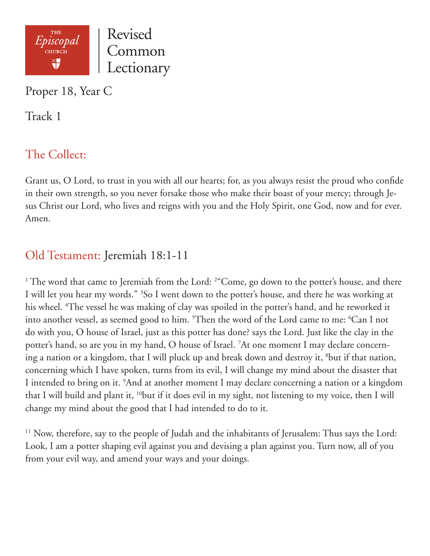

Proper 18, Year C

Track 1

## The Collect:

Grant us, O Lord, to trust in you with all our hearts; for, as you always resist the proud who confide in their own strength, so you never forsake those who make their boast of your mercy; through Jesus Christ our Lord, who lives and reigns with you and the Holy Spirit, one God, now and for ever. Amen.

## Old Testament: Jeremiah 18:1-11

<sup>1</sup> The word that came to Jeremiah from the Lord: <sup>2</sup> Come, go down to the potter's house, and there I will let you hear my words." 3 So I went down to the potter's house, and there he was working at his wheel. 4 The vessel he was making of clay was spoiled in the potter's hand, and he reworked it into another vessel, as seemed good to him. 5 Then the word of the Lord came to me: 6 Can I not do with you, O house of Israel, just as this potter has done? says the Lord. Just like the clay in the potter's hand, so are you in my hand, O house of Israel. 7 At one moment I may declare concerning a nation or a kingdom, that I will pluck up and break down and destroy it, <sup>8</sup>but if that nation, concerning which I have spoken, turns from its evil, I will change my mind about the disaster that I intended to bring on it. 9 And at another moment I may declare concerning a nation or a kingdom that I will build and plant it, 10but if it does evil in my sight, not listening to my voice, then I will change my mind about the good that I had intended to do to it.

<sup>11</sup> Now, therefore, say to the people of Judah and the inhabitants of Jerusalem: Thus says the Lord: Look, I am a potter shaping evil against you and devising a plan against you. Turn now, all of you from your evil way, and amend your ways and your doings.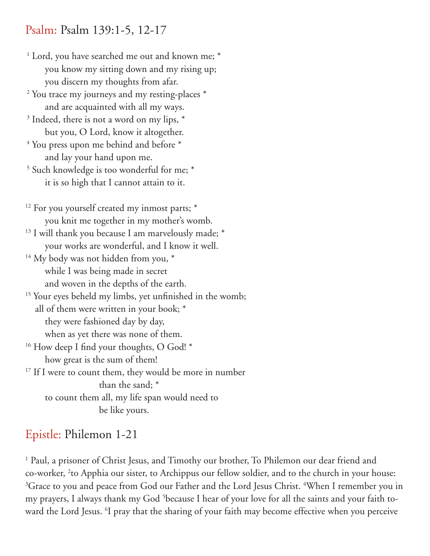### Psalm: Psalm 139:1-5, 12-17

- <sup>1</sup> Lord, you have searched me out and known me; \* you know my sitting down and my rising up; you discern my thoughts from afar.
- <sup>2</sup> You trace my journeys and my resting-places \* and are acquainted with all my ways.
- $3$  Indeed, there is not a word on my lips,  $*$ but you, O Lord, know it altogether.
- <sup>4</sup> You press upon me behind and before \* and lay your hand upon me.
- <sup>5</sup> Such knowledge is too wonderful for me; \* it is so high that I cannot attain to it.
- $12$  For you yourself created my inmost parts;  $*$ you knit me together in my mother's womb.
- <sup>13</sup> I will thank you because I am marvelously made; \* your works are wonderful, and I know it well.
- <sup>14</sup> My body was not hidden from you, \* while I was being made in secret and woven in the depths of the earth.
- <sup>15</sup> Your eyes beheld my limbs, yet unfinished in the womb; all of them were written in your book; \* they were fashioned day by day, when as yet there was none of them.
- <sup>16</sup> How deep I find your thoughts, O God! \* how great is the sum of them!
- <sup>17</sup> If I were to count them, they would be more in number than the sand; \* to count them all, my life span would need to be like yours.

# Epistle: Philemon 1-21

<sup>1</sup> Paul, a prisoner of Christ Jesus, and Timothy our brother, To Philemon our dear friend and co-worker, <sup>2</sup>to Apphia our sister, to Archippus our fellow soldier, and to the church in your house:  ${}^{3}$ Grace to you and peace from God our Father and the Lord Jesus Christ.  ${}^{4}$ When I remember you in my prayers, I always thank my God 5 because I hear of your love for all the saints and your faith toward the Lord Jesus. 6 I pray that the sharing of your faith may become effective when you perceive